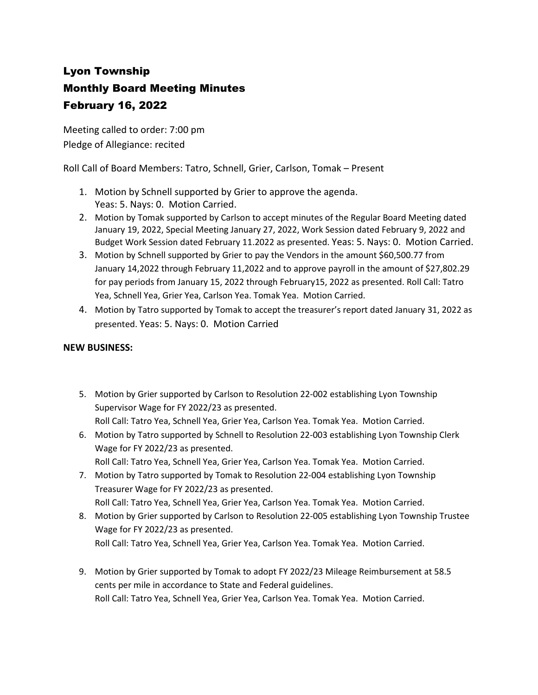# Lyon Township Monthly Board Meeting Minutes February 16, 2022

Meeting called to order: 7:00 pm Pledge of Allegiance: recited

Roll Call of Board Members: Tatro, Schnell, Grier, Carlson, Tomak – Present

- 1. Motion by Schnell supported by Grier to approve the agenda. Yeas: 5. Nays: 0. Motion Carried.
- 2. Motion by Tomak supported by Carlson to accept minutes of the Regular Board Meeting dated January 19, 2022, Special Meeting January 27, 2022, Work Session dated February 9, 2022 and Budget Work Session dated February 11.2022 as presented. Yeas: 5. Nays: 0. Motion Carried.
- 3. Motion by Schnell supported by Grier to pay the Vendors in the amount \$60,500.77 from January 14,2022 through February 11,2022 and to approve payroll in the amount of \$27,802.29 for pay periods from January 15, 2022 through February15, 2022 as presented. Roll Call: Tatro Yea, Schnell Yea, Grier Yea, Carlson Yea. Tomak Yea. Motion Carried.
- 4. Motion by Tatro supported by Tomak to accept the treasurer's report dated January 31, 2022 as presented. Yeas: 5. Nays: 0. Motion Carried

## **NEW BUSINESS:**

- 5. Motion by Grier supported by Carlson to Resolution 22-002 establishing Lyon Township Supervisor Wage for FY 2022/23 as presented. Roll Call: Tatro Yea, Schnell Yea, Grier Yea, Carlson Yea. Tomak Yea. Motion Carried.
- 6. Motion by Tatro supported by Schnell to Resolution 22-003 establishing Lyon Township Clerk Wage for FY 2022/23 as presented.
	- Roll Call: Tatro Yea, Schnell Yea, Grier Yea, Carlson Yea. Tomak Yea. Motion Carried.
- 7. Motion by Tatro supported by Tomak to Resolution 22-004 establishing Lyon Township Treasurer Wage for FY 2022/23 as presented.
- Roll Call: Tatro Yea, Schnell Yea, Grier Yea, Carlson Yea. Tomak Yea. Motion Carried. 8. Motion by Grier supported by Carlson to Resolution 22-005 establishing Lyon Township Trustee Wage for FY 2022/23 as presented.

Roll Call: Tatro Yea, Schnell Yea, Grier Yea, Carlson Yea. Tomak Yea. Motion Carried.

9. Motion by Grier supported by Tomak to adopt FY 2022/23 Mileage Reimbursement at 58.5 cents per mile in accordance to State and Federal guidelines. Roll Call: Tatro Yea, Schnell Yea, Grier Yea, Carlson Yea. Tomak Yea. Motion Carried.